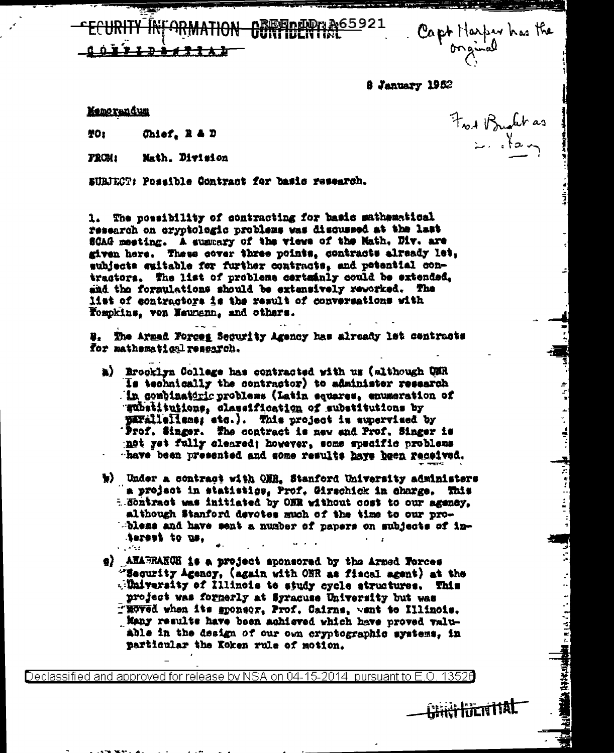Capt Harper has the

Frank Brush das

 $\sum_{i=1}^{k}$ 

ني<br>د

 $1.1411$ 

**The Secret Address** 

8 January 1962

<u> Eindwa A65</u>921

**Memorandum** 

茶O<sub>2</sub> Chief,  $R = D$ 

**FROM:** Math. Division

EURIECT: Possible Contract for basis research.

1. The possibility of contracting for basic mathematical research on cryptclogic problems was discussed at the last SCAG meeting. A summary of the views of the Math, Div. are given here. These cover three points, contracts already let, subjects suitable for further contracts, and potential contractors. The list of problems certainly could be extended, and the foraulations should be extensively reworked. The list of contractors is the result of conversations with Tompkins, von Neumenn, and others.

W. The Armed Forces Security Agency has already let centracts for mathematical research.

- a) Brocklyn College has contracted with us (although UMR Is technically the contractor) to administer research . in combinatoric problems (Latin equares, enumeration of gubatitutions, classification of substitutions by parallellens; etc.). This project is supervised by Frof. Singer. The contract is new and Prof. Singer is not yet fully cleared; however, some specific problems have been presented and some results have heen received.
- w) Under a contract with ONR, Stanford University administers a project in statistics, Prof. Girschick in charge. This E Sontract was initiated by ONR without cost to our agency, although Stanford devotes much of the time to our probless and have sent a number of papers on subjects of interest to us,  $\sim 10^{11}$
- g) ANABRAKQH is a project aponsored by the Armed Forces "Sequrity Agency, (again with ONR as fiacal agent) at the  $\sqrt{2}$  Mulversity of Illinois to study cycle structures. This project was formerly at Syracuse University but was TROVed when its sponsor, Prof. Cairns, went to Illinois. Many results have been achieved which have proved valuable in the design of our own cryptographic systems, in particular the Koken rule of motion.

Declassified and approved for release by NSA on 04-15-2014 pursuant to E.O

<del>CHRITIDE N</del>ITAL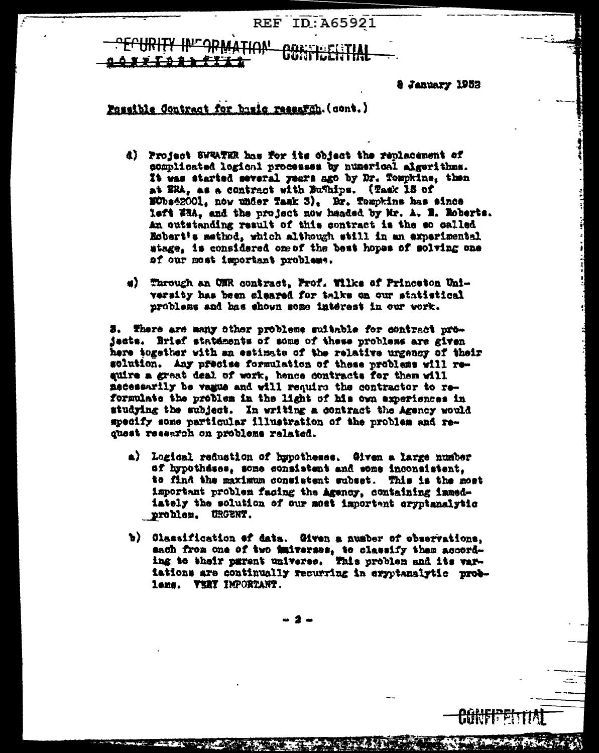# **REF ID: A65921 TIAN!**

**& January 1953** 

## Possible Contract for basic research. (cont.)

- d) Project SWRATER has for its object the replacement of somplicated logical processes by numerical algerithms. It was started several years ago by Dr. Tompkins, then at ERA, as a contract with Bufhips. (Task 15 of  $\text{EOns42001.}$  now under Task 3). Dr. Tompkins has since left WBA, and the project now headed by Mr. A. M. Roberts. An outstanding result of this contract is the so called Robert's method, which although still in an experimental stage, is considered one of the best hopes of solving one af our most important problems.
- #) Through an ONR contract. Prof. Wilks of Princeton University has been cleared for talks on our statistical problems and has shown some interest in our work.

3. There are many other problems suitable for contract projacts. Brief statements of some of these problems are given here together with an estimate of the relative urgency of their solution. Any precise formulation of these problems will require a great deal of work, hence contracts for them will macessarily be vague and will require the contractor to reformulate the problem in the light of his own experiences in studying the subject. In writing a contract the Agency would specify some particular illustration of the problem and request reservoh on problems related.

- a) Logical reduction of hypotheses. Given a large number of hypotheses, some consistent and some inconsistent. to find the maximum consistent subset. This is the most important problem facing the agency, containing immediately the solution of our most important cryptanalytic **nroblem. URGENT.**
- b) Classification of data. Given a number of observations, sach from one of two imiverses, to classify them according to their parent universe. This problem and its variations are continually recurring in exprianalytic problems. VERY IMPORTANT.

- 9 -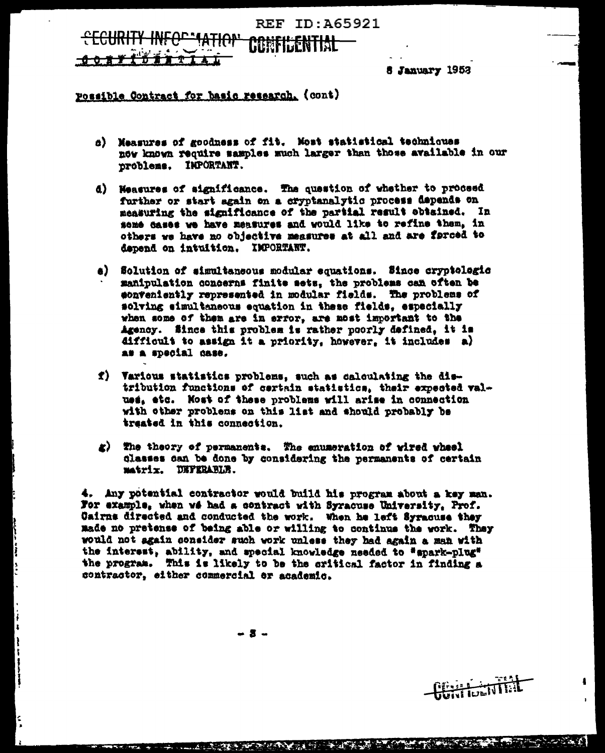## REF TD: 465921

<del>-6-6-11-11-11-11</del>

8 January 1952

#### Possible Contract for basic research. (cont)

- a) Measures of goodness of fit. Most statistical techniques now known require samples much larger than those available in our problems. IMPORTANT.
- d) Weasures of significance. The question of whether to proceed further or start again on a cryptanalytic process depends on measuring the significance of the partial result obtained. In some dases we have measures and would like to refine them. in others we have no objective measures at all and are forced to dapend on intuition. IMPORTANT.
- a) Solution of simultaneous modular equations. Since cryptologic manipulation concerns finite sets. the problems can often be conveniently represented in modular fields. The problems of solving simultaneous equation in these fields. especially when some of them are in error, are most important to the Agency. Since this problem is rather poorly defined, it is difficult to assign it a priority, however, it includes a) as a special case.
- f) Various statistics problems, such as calculating the distribution functions of certain statistics, their expected valuss, etc. Most of these problems will arise in connection with other problems on this list and should probably be traated in this connection.
- g) The theory of permanents. The enumeration of wired wheel classes can be done by considering the permanents of certain matrix. DEFERABLE.

4. Any potential contractor would build his program about a key man. For example, when wé had a contract with Syracuse University, Prof. Cairns directed and conducted the work. When he left Syracuse they made no pretense of being able or willing to continue the work. They would not again consider such work unless they had again a man with the interest, ability, and special knowledge needed to "spark-plug" the program. This is likely to be the critical factor in finding a contractor, either commercial or academic.

- 2 -



**THE REAL PROPERTY OF A REAL PROPERTY**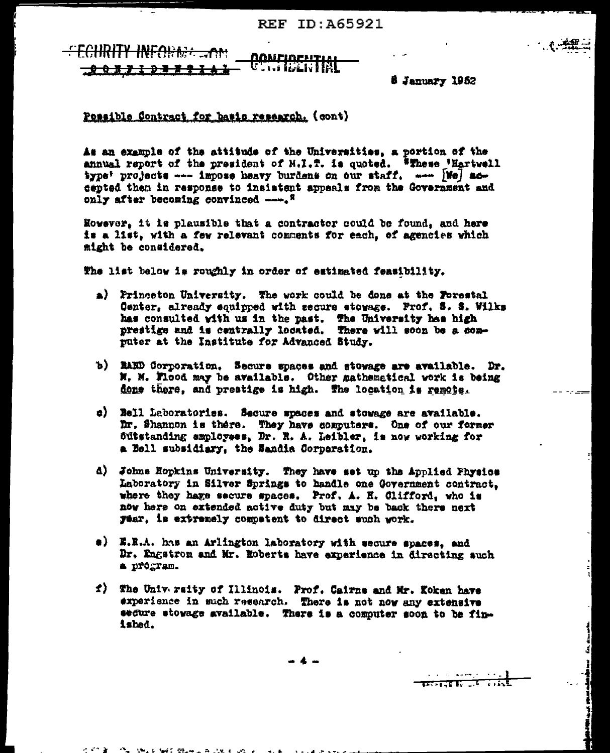<del>TY INFOUNT \_\_ on</del> <u> Nameidenti</u> - : us level v l l f <u>.. 0 0 x y i p a x q</u>

**6 January 1952** 

Possible Contract for batic research. (cont)

As an example of the attitude of the Universities, a portion of the annual report of the president of M.I.T. is quoted. Whese 'Hartwell type: projects --- impose heavy burdens on our staff. ---- [We] accented then in response to insistent appeals from the Government and only after becoming convinced ----. "

However, it is plausible that a contractor could be found, and here is a list, with a few relevant comments for each, of agencies which might be considered.

The list below is roughly in order of estimated feasibility.

- a) Princeton University. The work could be done at the Forestal Center, already equipped with secure stowage. Prof. S. S. Wilks has consulted with us in the past. The University has high prestige and is centrally located. There will soon be a computer at the Institute for Advanced Study.
- b) RAED Corporation. Secure spaces and stowage are available. Dr. M. M. Flood may be available. Other mathematical work is being done there, and prestige is high. The location is remote.
- c) Bell Laboratories. Secure spaces and stowage are available. Dr. Shannon is there. They have computers. One of our former outstanding employees, Dr. R. A. Leibler, is now working for a Bell subsidiary, the Sandia Corporation.
- d) Johns Hopkins University. They have set up the Applied Physics Laboratory in Silver Springs to handle one Government contract. where they have secure spaces. Prof. A. H. Clifford, who is now here on extended active duty but may be back there next Tear. is extremely competent to direct such work.
- a) E.E.A. has an Arlington laboratory with secure spaces, and Dr. Engstrom and Mr. Roberts have experience in directing auch a program.
- f) The University of Illinois. Prof. Cairns and Mr. Koken have experience in such research. There is not now any extensive segure stowage available. There is a computer soon to be finished.

<del>ल्लाका सम्</del>

fan it neamd fan